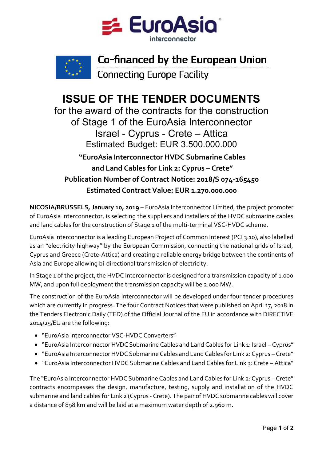



## Co-financed by the European Union

**Connecting Europe Facility** 

## **ISSUE OF THE TENDER DOCUMENTS**

for the award of the contracts for the construction of Stage 1 of the EuroAsia Interconnector Israel - Cyprus - Crete – Attica Estimated Budget: EUR 3.500.000.000

**"EuroAsia Interconnector HVDC Submarine Cables and Land Cables for Link 2: Cyprus – Crete" Publication Number of Contract Notice: 2018/S 074-165450 Estimated Contract Value: EUR 1.270.000.000**

**NICOSIA/BRUSSELS, January 10, 2019** – EuroAsia Interconnector Limited, the project promoter of EuroAsia Interconnector, is selecting the suppliers and installers of the HVDC submarine cables and land cables for the construction of Stage 1 of the multi-terminal VSC-HVDC scheme.

EuroAsia Interconnector is a leading European Project of Common Interest (PCI 3.10), also labelled as an "electricity highway" by the European Commission, connecting the national grids of Israel, Cyprus and Greece (Crete-Attica) and creating a reliable energy bridge between the continents of Asia and Europe allowing bi-directional transmission of electricity.

In Stage 1 of the project, the HVDC Interconnector is designed for a transmission capacity of 1.000 MW, and upon full deployment the transmission capacity will be 2.000 MW.

The construction of the EuroAsia Interconnector will be developed under four tender procedures which are currently in progress. The four Contract Notices that were published on April 17, 2018 in the Tenders Electronic Daily (TED) of the Official Journal of the EU in accordance with DIRECTIVE 2014/25/EU are the following:

- "EuroAsia Interconnector VSC-HVDC Converters"
- "EuroAsia Interconnector HVDC Submarine Cables and Land Cables for Link 1: Israel Cyprus"
- "EuroAsia Interconnector HVDC Submarine Cables and Land Cables for Link 2: Cyprus Crete"
- "EuroAsia Interconnector HVDC Submarine Cables and Land Cables for Link 3: Crete Attica"

The "EuroAsia Interconnector HVDC Submarine Cables and Land Cables for Link 2: Cyprus – Crete" contracts encompasses the design, manufacture, testing, supply and installation of the HVDC submarine and land cables for Link 2 (Cyprus - Crete). The pair of HVDC submarine cables will cover a distance of 898 km and will be laid at a maximum water depth of 2.960 m.